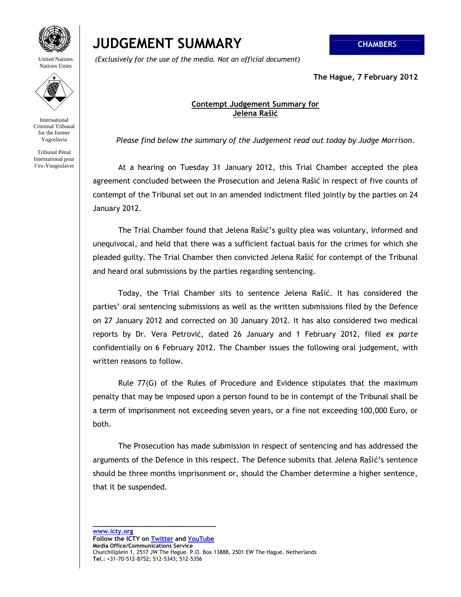

United Nations Nations Unies

International Criminal Tribunal for the former Yugoslavia

Tribunal Pénal International pour l'ex-Yougoslavie

## **JUDGEMENT SUMMARY CHAMBERS**

 *(Exclusively for the use of the media. Not an official document)*

**The Hague, 7 February 2012** 

## **Contempt Judgement Summary for Jelena Rašić**

*Please find below the summary of the Judgement read out today by Judge Morrison.* 

 At a hearing on Tuesday 31 January 2012, this Trial Chamber accepted the plea agreement concluded between the Prosecution and Jelena Rašić in respect of five counts of contempt of the Tribunal set out in an amended indictment filed jointly by the parties on 24 January 2012.

 The Trial Chamber found that Jelena Rašić's guilty plea was voluntary, informed and unequivocal, and held that there was a sufficient factual basis for the crimes for which she pleaded guilty. The Trial Chamber then convicted Jelena Rašić for contempt of the Tribunal and heard oral submissions by the parties regarding sentencing.

 Today, the Trial Chamber sits to sentence Jelena Rašić. It has considered the parties' oral sentencing submissions as well as the written submissions filed by the Defence on 27 January 2012 and corrected on 30 January 2012. It has also considered two medical reports by Dr. Vera Petrović, dated 26 January and 1 February 2012, filed *ex parte*  confidentially on 6 February 2012. The Chamber issues the following oral judgement, with written reasons to follow.

 Rule 77(G) of the Rules of Procedure and Evidence stipulates that the maximum penalty that may be imposed upon a person found to be in contempt of the Tribunal shall be a term of imprisonment not exceeding seven years, or a fine not exceeding 100,000 Euro, or both.

 The Prosecution has made submission in respect of sentencing and has addressed the arguments of the Defence in this respect. The Defence submits that Jelena Rašić's sentence should be three months imprisonment or, should the Chamber determine a higher sentence, that it be suspended.

**\_\_\_\_\_\_\_\_\_\_\_\_\_\_\_\_\_\_\_\_\_\_\_\_\_\_\_\_\_\_\_\_\_**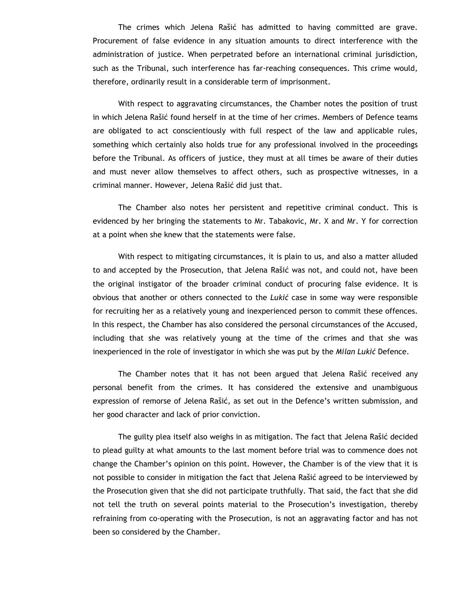The crimes which Jelena Rašić has admitted to having committed are grave. Procurement of false evidence in any situation amounts to direct interference with the administration of justice. When perpetrated before an international criminal jurisdiction, such as the Tribunal, such interference has far-reaching consequences. This crime would, therefore, ordinarily result in a considerable term of imprisonment.

 With respect to aggravating circumstances, the Chamber notes the position of trust in which Jelena Rašić found herself in at the time of her crimes. Members of Defence teams are obligated to act conscientiously with full respect of the law and applicable rules, something which certainly also holds true for any professional involved in the proceedings before the Tribunal. As officers of justice, they must at all times be aware of their duties and must never allow themselves to affect others, such as prospective witnesses, in a criminal manner. However, Jelena Rašić did just that.

 The Chamber also notes her persistent and repetitive criminal conduct. This is evidenced by her bringing the statements to Mr. Tabakovic, Mr. X and Mr. Y for correction at a point when she knew that the statements were false.

 With respect to mitigating circumstances, it is plain to us, and also a matter alluded to and accepted by the Prosecution, that Jelena Rašić was not, and could not, have been the original instigator of the broader criminal conduct of procuring false evidence. It is obvious that another or others connected to the *Lukić* case in some way were responsible for recruiting her as a relatively young and inexperienced person to commit these offences. In this respect, the Chamber has also considered the personal circumstances of the Accused, including that she was relatively young at the time of the crimes and that she was inexperienced in the role of investigator in which she was put by the *Milan Lukić* Defence.

 The Chamber notes that it has not been argued that Jelena Rašić received any personal benefit from the crimes. It has considered the extensive and unambiguous expression of remorse of Jelena Rašić, as set out in the Defence's written submission, and her good character and lack of prior conviction.

 The guilty plea itself also weighs in as mitigation. The fact that Jelena Rašić decided to plead guilty at what amounts to the last moment before trial was to commence does not change the Chamber's opinion on this point. However, the Chamber is of the view that it is not possible to consider in mitigation the fact that Jelena Rašić agreed to be interviewed by the Prosecution given that she did not participate truthfully. That said, the fact that she did not tell the truth on several points material to the Prosecution's investigation, thereby refraining from co-operating with the Prosecution, is not an aggravating factor and has not been so considered by the Chamber.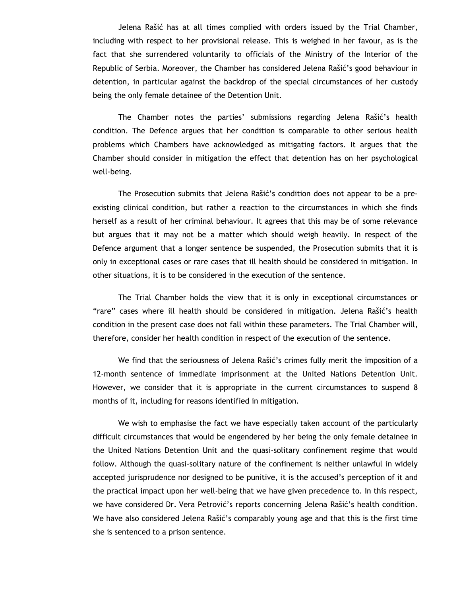Jelena Rašić has at all times complied with orders issued by the Trial Chamber, including with respect to her provisional release. This is weighed in her favour, as is the fact that she surrendered voluntarily to officials of the Ministry of the Interior of the Republic of Serbia. Moreover, the Chamber has considered Jelena Rašić's good behaviour in detention, in particular against the backdrop of the special circumstances of her custody being the only female detainee of the Detention Unit.

 The Chamber notes the parties' submissions regarding Jelena Rašić's health condition. The Defence argues that her condition is comparable to other serious health problems which Chambers have acknowledged as mitigating factors. It argues that the Chamber should consider in mitigation the effect that detention has on her psychological well-being.

 The Prosecution submits that Jelena Rašić's condition does not appear to be a preexisting clinical condition, but rather a reaction to the circumstances in which she finds herself as a result of her criminal behaviour. It agrees that this may be of some relevance but argues that it may not be a matter which should weigh heavily. In respect of the Defence argument that a longer sentence be suspended, the Prosecution submits that it is only in exceptional cases or rare cases that ill health should be considered in mitigation. In other situations, it is to be considered in the execution of the sentence.

 The Trial Chamber holds the view that it is only in exceptional circumstances or "rare" cases where ill health should be considered in mitigation. Jelena Rašić's health condition in the present case does not fall within these parameters. The Trial Chamber will, therefore, consider her health condition in respect of the execution of the sentence.

 We find that the seriousness of Jelena Rašić's crimes fully merit the imposition of a 12-month sentence of immediate imprisonment at the United Nations Detention Unit. However, we consider that it is appropriate in the current circumstances to suspend 8 months of it, including for reasons identified in mitigation.

 We wish to emphasise the fact we have especially taken account of the particularly difficult circumstances that would be engendered by her being the only female detainee in the United Nations Detention Unit and the quasi-solitary confinement regime that would follow. Although the quasi-solitary nature of the confinement is neither unlawful in widely accepted jurisprudence nor designed to be punitive, it is the accused's perception of it and the practical impact upon her well-being that we have given precedence to. In this respect, we have considered Dr. Vera Petrović's reports concerning Jelena Rašić's health condition. We have also considered Jelena Rašić's comparably young age and that this is the first time she is sentenced to a prison sentence.